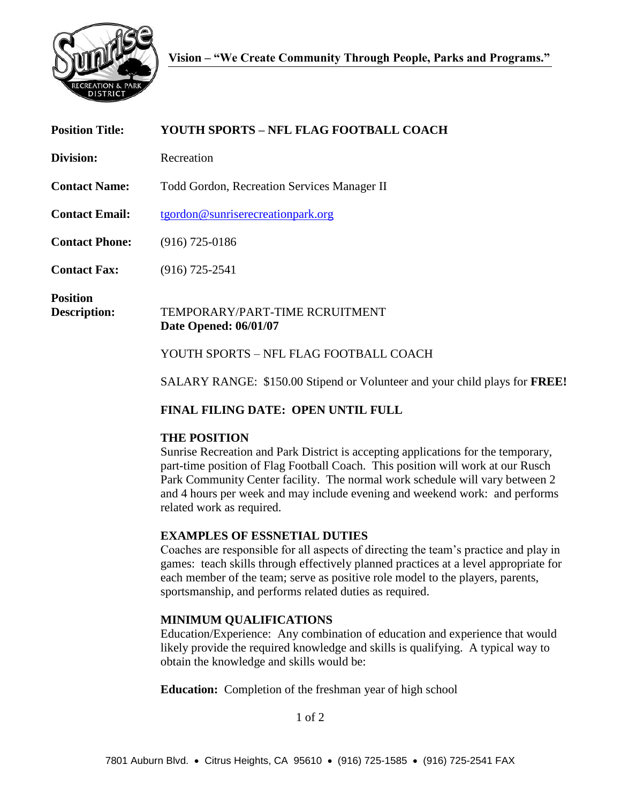

| <b>Position Title:</b>          | <b>YOUTH SPORTS – NFL FLAG FOOTBALL COACH</b>                                     |
|---------------------------------|-----------------------------------------------------------------------------------|
| Division:                       | Recreation                                                                        |
| <b>Contact Name:</b>            | <b>Todd Gordon, Recreation Services Manager II</b>                                |
| <b>Contact Email:</b>           | tgordon@sunriserecreationpark.org                                                 |
| <b>Contact Phone:</b>           | $(916)$ 725-0186                                                                  |
| <b>Contact Fax:</b>             | $(916)$ 725-2541                                                                  |
| <b>Position</b><br>Description: | TEMPORARY/PART-TIME RCRUITMENT<br><b>Date Opened: 06/01/07</b>                    |
|                                 | YOUTH SPORTS – NFL FLAG FOOTBALL COACH                                            |
|                                 | SALARY RANGE: \$150.00 Stipend or Volunteer and your child plays for <b>FREE!</b> |

# **FINAL FILING DATE: OPEN UNTIL FULL**

# **THE POSITION**

Sunrise Recreation and Park District is accepting applications for the temporary, part-time position of Flag Football Coach. This position will work at our Rusch Park Community Center facility. The normal work schedule will vary between 2 and 4 hours per week and may include evening and weekend work: and performs related work as required.

# **EXAMPLES OF ESSNETIAL DUTIES**

Coaches are responsible for all aspects of directing the team's practice and play in games: teach skills through effectively planned practices at a level appropriate for each member of the team; serve as positive role model to the players, parents, sportsmanship, and performs related duties as required.

# **MINIMUM QUALIFICATIONS**

Education/Experience: Any combination of education and experience that would likely provide the required knowledge and skills is qualifying. A typical way to obtain the knowledge and skills would be:

**Education:** Completion of the freshman year of high school

1 of 2